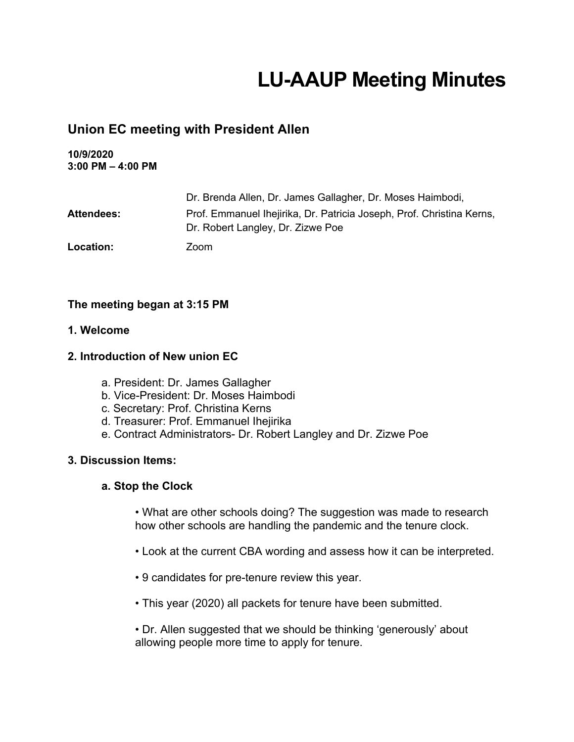# **LU-AAUP Meeting Minutes**

# **Union EC meeting with President Allen**

**10/9/2020 3:00 PM – 4:00 PM**

|                   | Dr. Brenda Allen, Dr. James Gallagher, Dr. Moses Haimbodi,                                                 |
|-------------------|------------------------------------------------------------------------------------------------------------|
| <b>Attendees:</b> | Prof. Emmanuel Ihejirika, Dr. Patricia Joseph, Prof. Christina Kerns,<br>Dr. Robert Langley, Dr. Zizwe Poe |
| Location:         | Zoom                                                                                                       |

# **The meeting began at 3:15 PM**

# **1. Welcome**

# **2. Introduction of New union EC**

- a. President: Dr. James Gallagher
- b. Vice-President: Dr. Moses Haimbodi
- c. Secretary: Prof. Christina Kerns
- d. Treasurer: Prof. Emmanuel Ihejirika
- e. Contract Administrators- Dr. Robert Langley and Dr. Zizwe Poe

#### **3. Discussion Items:**

#### **a. Stop the Clock**

• What are other schools doing? The suggestion was made to research how other schools are handling the pandemic and the tenure clock.

- Look at the current CBA wording and assess how it can be interpreted.
- 9 candidates for pre-tenure review this year.
- This year (2020) all packets for tenure have been submitted.

• Dr. Allen suggested that we should be thinking 'generously' about allowing people more time to apply for tenure.